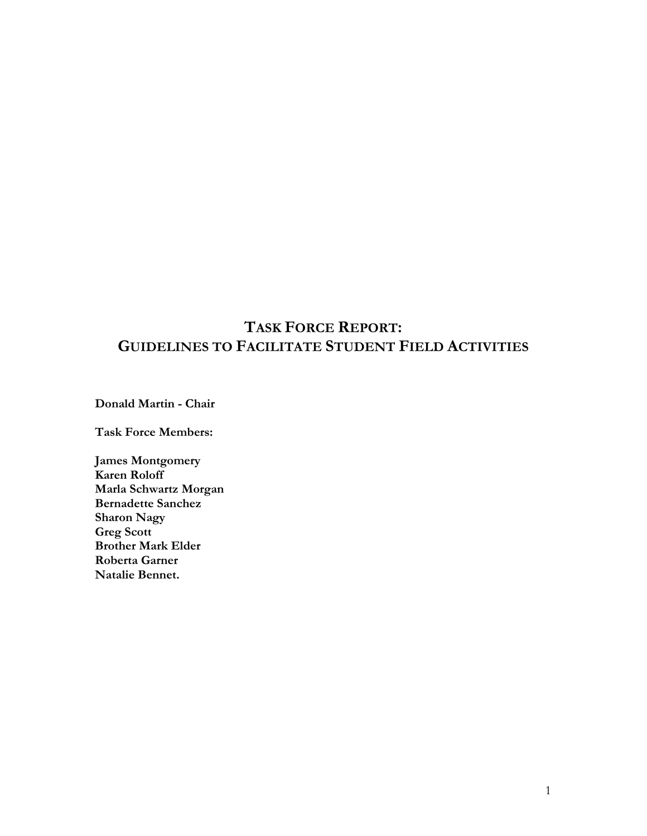# **TASK FORCE REPORT: GUIDELINES TO FACILITATE STUDENT FIELD ACTIVITIES**

**Donald Martin - Chair**

**Task Force Members:**

**James Montgomery Karen Roloff Marla Schwartz Morgan Bernadette Sanchez Sharon Nagy Greg Scott Brother Mark Elder Roberta Garner Natalie Bennet.**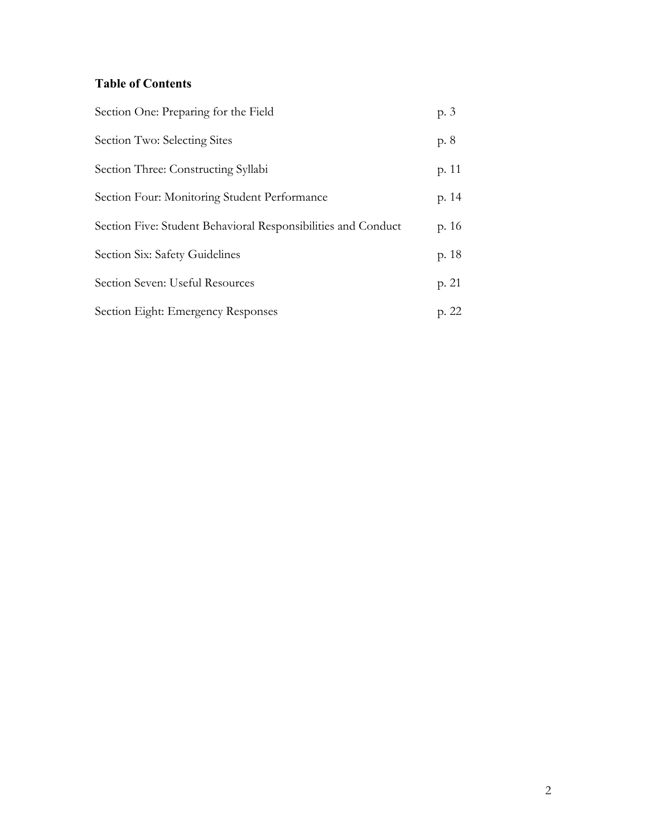### **Table of Contents**

| Section One: Preparing for the Field                          | p. 3  |
|---------------------------------------------------------------|-------|
| Section Two: Selecting Sites                                  | p. 8  |
| Section Three: Constructing Syllabi                           | p. 11 |
| Section Four: Monitoring Student Performance                  | p. 14 |
| Section Five: Student Behavioral Responsibilities and Conduct | p. 16 |
| Section Six: Safety Guidelines                                | p. 18 |
| Section Seven: Useful Resources                               | p. 21 |
| Section Eight: Emergency Responses                            | p. 22 |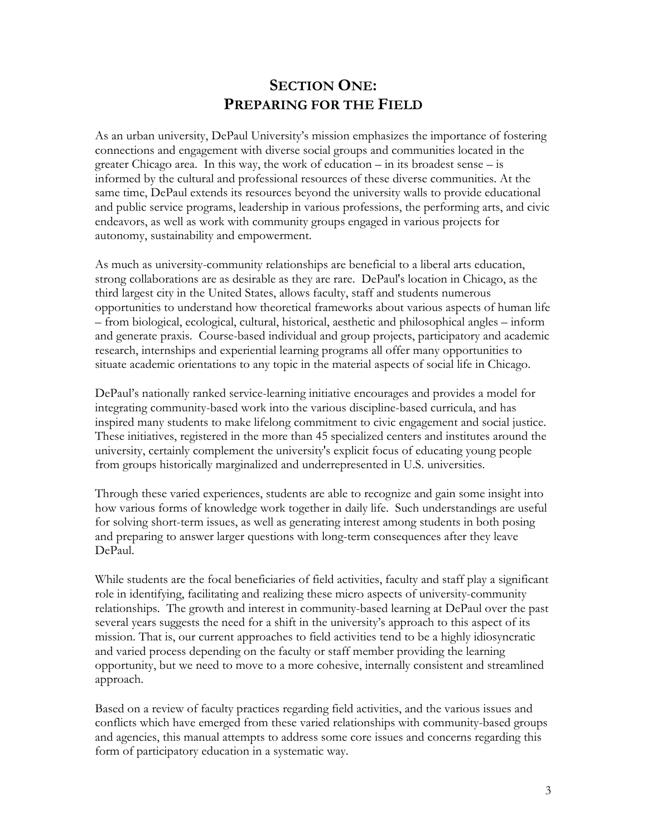## **SECTION ONE: PREPARING FOR THE FIELD**

As an urban university, DePaul University's mission emphasizes the importance of fostering connections and engagement with diverse social groups and communities located in the greater Chicago area. In this way, the work of education – in its broadest sense – is informed by the cultural and professional resources of these diverse communities. At the same time, DePaul extends its resources beyond the university walls to provide educational and public service programs, leadership in various professions, the performing arts, and civic endeavors, as well as work with community groups engaged in various projects for autonomy, sustainability and empowerment.

As much as university-community relationships are beneficial to a liberal arts education, strong collaborations are as desirable as they are rare. DePaul's location in Chicago, as the third largest city in the United States, allows faculty, staff and students numerous opportunities to understand how theoretical frameworks about various aspects of human life – from biological, ecological, cultural, historical, aesthetic and philosophical angles – inform and generate praxis. Course-based individual and group projects, participatory and academic research, internships and experiential learning programs all offer many opportunities to situate academic orientations to any topic in the material aspects of social life in Chicago.

DePaul's nationally ranked service-learning initiative encourages and provides a model for integrating community-based work into the various discipline-based curricula, and has inspired many students to make lifelong commitment to civic engagement and social justice. These initiatives, registered in the more than 45 specialized centers and institutes around the university, certainly complement the university's explicit focus of educating young people from groups historically marginalized and underrepresented in U.S. universities.

Through these varied experiences, students are able to recognize and gain some insight into how various forms of knowledge work together in daily life. Such understandings are useful for solving short-term issues, as well as generating interest among students in both posing and preparing to answer larger questions with long-term consequences after they leave DePaul.

While students are the focal beneficiaries of field activities, faculty and staff play a significant role in identifying, facilitating and realizing these micro aspects of university-community relationships. The growth and interest in community-based learning at DePaul over the past several years suggests the need for a shift in the university's approach to this aspect of its mission. That is, our current approaches to field activities tend to be a highly idiosyncratic and varied process depending on the faculty or staff member providing the learning opportunity, but we need to move to a more cohesive, internally consistent and streamlined approach.

Based on a review of faculty practices regarding field activities, and the various issues and conflicts which have emerged from these varied relationships with community-based groups and agencies, this manual attempts to address some core issues and concerns regarding this form of participatory education in a systematic way.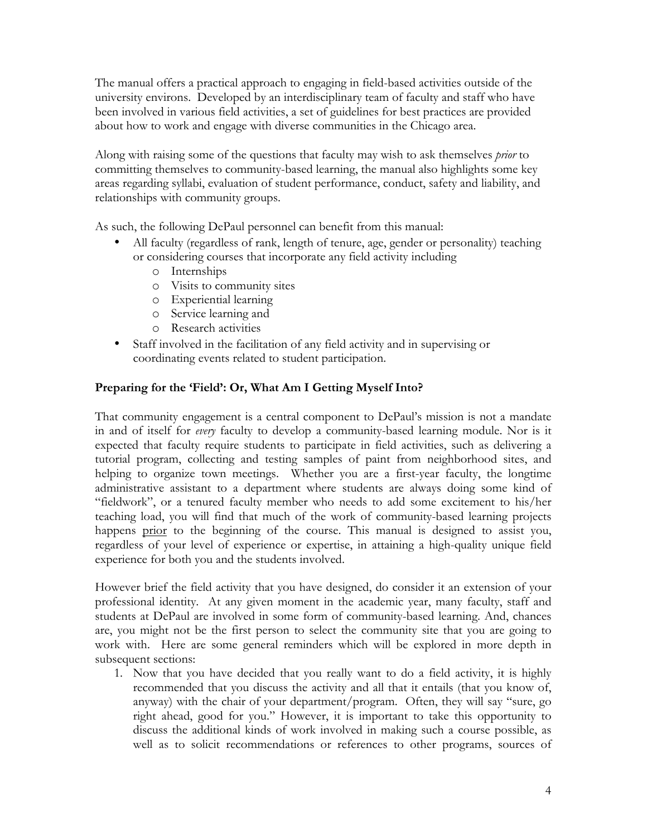The manual offers a practical approach to engaging in field-based activities outside of the university environs. Developed by an interdisciplinary team of faculty and staff who have been involved in various field activities, a set of guidelines for best practices are provided about how to work and engage with diverse communities in the Chicago area.

Along with raising some of the questions that faculty may wish to ask themselves *prior* to committing themselves to community-based learning, the manual also highlights some key areas regarding syllabi, evaluation of student performance, conduct, safety and liability, and relationships with community groups.

As such, the following DePaul personnel can benefit from this manual:

- All faculty (regardless of rank, length of tenure, age, gender or personality) teaching or considering courses that incorporate any field activity including
	- o Internships
	- o Visits to community sites
	- o Experiential learning
	- o Service learning and
	- o Research activities
- Staff involved in the facilitation of any field activity and in supervising or coordinating events related to student participation.

### **Preparing for the 'Field': Or, What Am I Getting Myself Into?**

That community engagement is a central component to DePaul's mission is not a mandate in and of itself for *every* faculty to develop a community-based learning module. Nor is it expected that faculty require students to participate in field activities, such as delivering a tutorial program, collecting and testing samples of paint from neighborhood sites, and helping to organize town meetings. Whether you are a first-year faculty, the longtime administrative assistant to a department where students are always doing some kind of "fieldwork", or a tenured faculty member who needs to add some excitement to his/her teaching load, you will find that much of the work of community-based learning projects happens prior to the beginning of the course. This manual is designed to assist you, regardless of your level of experience or expertise, in attaining a high-quality unique field experience for both you and the students involved.

However brief the field activity that you have designed, do consider it an extension of your professional identity. At any given moment in the academic year, many faculty, staff and students at DePaul are involved in some form of community-based learning. And, chances are, you might not be the first person to select the community site that you are going to work with. Here are some general reminders which will be explored in more depth in subsequent sections:

1. Now that you have decided that you really want to do a field activity, it is highly recommended that you discuss the activity and all that it entails (that you know of, anyway) with the chair of your department/program. Often, they will say "sure, go right ahead, good for you." However, it is important to take this opportunity to discuss the additional kinds of work involved in making such a course possible, as well as to solicit recommendations or references to other programs, sources of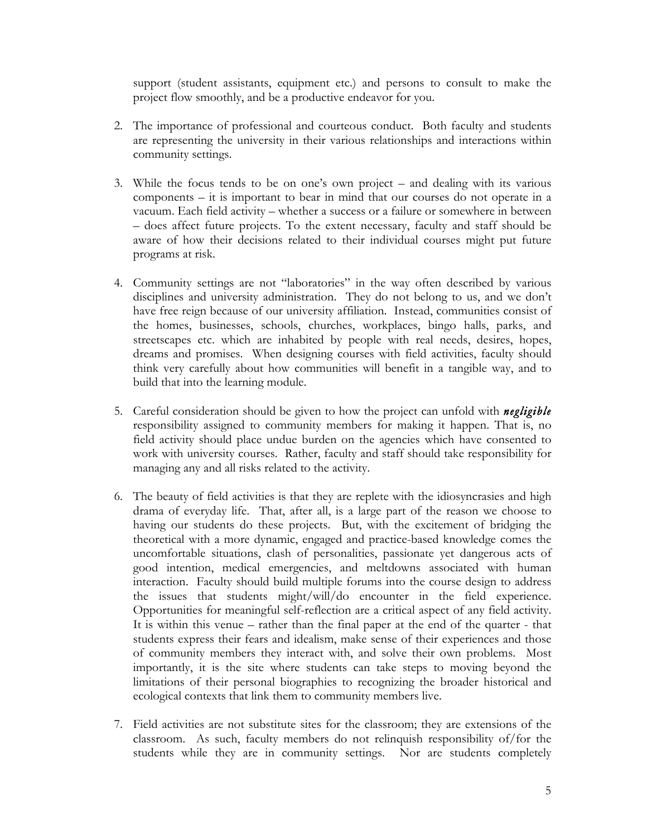support (student assistants, equipment etc.) and persons to consult to make the project flow smoothly, and be a productive endeavor for you.

- 2. The importance of professional and courteous conduct. Both faculty and students are representing the university in their various relationships and interactions within community settings.
- 3. While the focus tends to be on one's own project and dealing with its various components – it is important to bear in mind that our courses do not operate in a vacuum. Each field activity – whether a success or a failure or somewhere in between – does affect future projects. To the extent necessary, faculty and staff should be aware of how their decisions related to their individual courses might put future programs at risk.
- 4. Community settings are not "laboratories" in the way often described by various disciplines and university administration. They do not belong to us, and we don't have free reign because of our university affiliation. Instead, communities consist of the homes, businesses, schools, churches, workplaces, bingo halls, parks, and streetscapes etc. which are inhabited by people with real needs, desires, hopes, dreams and promises. When designing courses with field activities, faculty should think very carefully about how communities will benefit in a tangible way, and to build that into the learning module.
- 5. Careful consideration should be given to how the project can unfold with *negligible* responsibility assigned to community members for making it happen. That is, no field activity should place undue burden on the agencies which have consented to work with university courses. Rather, faculty and staff should take responsibility for managing any and all risks related to the activity.
- 6. The beauty of field activities is that they are replete with the idiosyncrasies and high drama of everyday life. That, after all, is a large part of the reason we choose to having our students do these projects. But, with the excitement of bridging the theoretical with a more dynamic, engaged and practice-based knowledge comes the uncomfortable situations, clash of personalities, passionate yet dangerous acts of good intention, medical emergencies, and meltdowns associated with human interaction. Faculty should build multiple forums into the course design to address the issues that students might/will/do encounter in the field experience. Opportunities for meaningful self-reflection are a critical aspect of any field activity. It is within this venue – rather than the final paper at the end of the quarter - that students express their fears and idealism, make sense of their experiences and those of community members they interact with, and solve their own problems. Most importantly, it is the site where students can take steps to moving beyond the limitations of their personal biographies to recognizing the broader historical and ecological contexts that link them to community members live.
- 7. Field activities are not substitute sites for the classroom; they are extensions of the classroom. As such, faculty members do not relinquish responsibility of/for the students while they are in community settings. Nor are students completely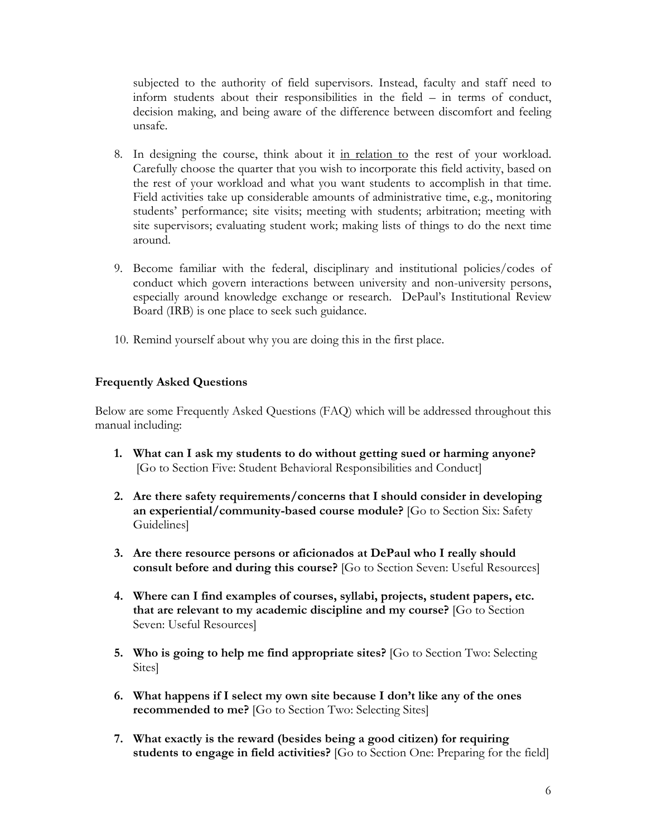subjected to the authority of field supervisors. Instead, faculty and staff need to inform students about their responsibilities in the field – in terms of conduct, decision making, and being aware of the difference between discomfort and feeling unsafe.

- 8. In designing the course, think about it in relation to the rest of your workload. Carefully choose the quarter that you wish to incorporate this field activity, based on the rest of your workload and what you want students to accomplish in that time. Field activities take up considerable amounts of administrative time, e.g., monitoring students' performance; site visits; meeting with students; arbitration; meeting with site supervisors; evaluating student work; making lists of things to do the next time around.
- 9. Become familiar with the federal, disciplinary and institutional policies/codes of conduct which govern interactions between university and non-university persons, especially around knowledge exchange or research. DePaul's Institutional Review Board (IRB) is one place to seek such guidance.
- 10. Remind yourself about why you are doing this in the first place.

### **Frequently Asked Questions**

Below are some Frequently Asked Questions (FAQ) which will be addressed throughout this manual including:

- **1. What can I ask my students to do without getting sued or harming anyone?** [Go to Section Five: Student Behavioral Responsibilities and Conduct]
- **2. Are there safety requirements/concerns that I should consider in developing an experiential/community-based course module?** [Go to Section Six: Safety Guidelines]
- **3. Are there resource persons or aficionados at DePaul who I really should consult before and during this course?** [Go to Section Seven: Useful Resources]
- **4. Where can I find examples of courses, syllabi, projects, student papers, etc. that are relevant to my academic discipline and my course?** [Go to Section Seven: Useful Resources]
- **5. Who is going to help me find appropriate sites?** [Go to Section Two: Selecting Sites]
- **6. What happens if I select my own site because I don't like any of the ones recommended to me?** [Go to Section Two: Selecting Sites]
- **7. What exactly is the reward (besides being a good citizen) for requiring students to engage in field activities?** [Go to Section One: Preparing for the field]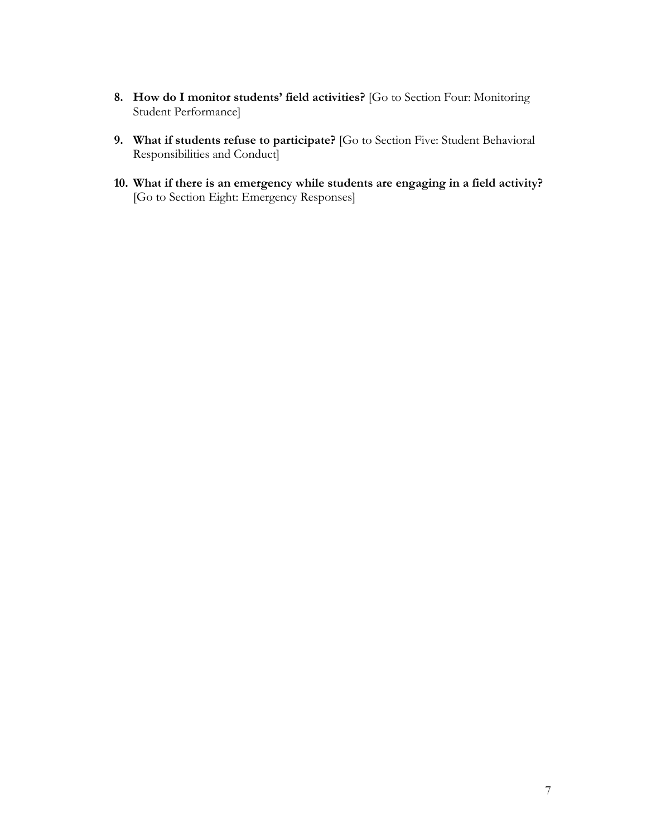- **8. How do I monitor students' field activities?** [Go to Section Four: Monitoring Student Performance]
- **9. What if students refuse to participate?** [Go to Section Five: Student Behavioral Responsibilities and Conduct]
- **10. What if there is an emergency while students are engaging in a field activity?**  [Go to Section Eight: Emergency Responses]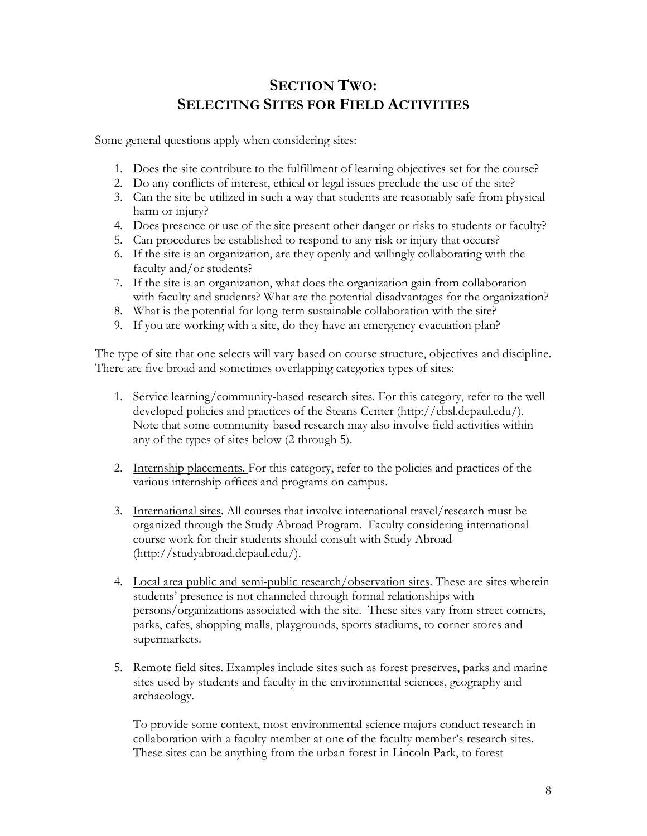# **SECTION TWO: SELECTING SITES FOR FIELD ACTIVITIES**

Some general questions apply when considering sites:

- 1. Does the site contribute to the fulfillment of learning objectives set for the course?
- 2. Do any conflicts of interest, ethical or legal issues preclude the use of the site?
- 3. Can the site be utilized in such a way that students are reasonably safe from physical harm or injury?
- 4. Does presence or use of the site present other danger or risks to students or faculty?
- 5. Can procedures be established to respond to any risk or injury that occurs?
- 6. If the site is an organization, are they openly and willingly collaborating with the faculty and/or students?
- 7. If the site is an organization, what does the organization gain from collaboration with faculty and students? What are the potential disadvantages for the organization?
- 8. What is the potential for long-term sustainable collaboration with the site?
- 9. If you are working with a site, do they have an emergency evacuation plan?

The type of site that one selects will vary based on course structure, objectives and discipline. There are five broad and sometimes overlapping categories types of sites:

- 1. Service learning/community-based research sites. For this category, refer to the well developed policies and practices of the Steans Center (http://cbsl.depaul.edu/). Note that some community-based research may also involve field activities within any of the types of sites below (2 through 5).
- 2. Internship placements. For this category, refer to the policies and practices of the various internship offices and programs on campus.
- 3. International sites. All courses that involve international travel/research must be organized through the Study Abroad Program. Faculty considering international course work for their students should consult with Study Abroad (http://studyabroad.depaul.edu/).
- 4. Local area public and semi-public research/observation sites. These are sites wherein students' presence is not channeled through formal relationships with persons/organizations associated with the site. These sites vary from street corners, parks, cafes, shopping malls, playgrounds, sports stadiums, to corner stores and supermarkets.
- 5. Remote field sites. Examples include sites such as forest preserves, parks and marine sites used by students and faculty in the environmental sciences, geography and archaeology.

To provide some context, most environmental science majors conduct research in collaboration with a faculty member at one of the faculty member's research sites. These sites can be anything from the urban forest in Lincoln Park, to forest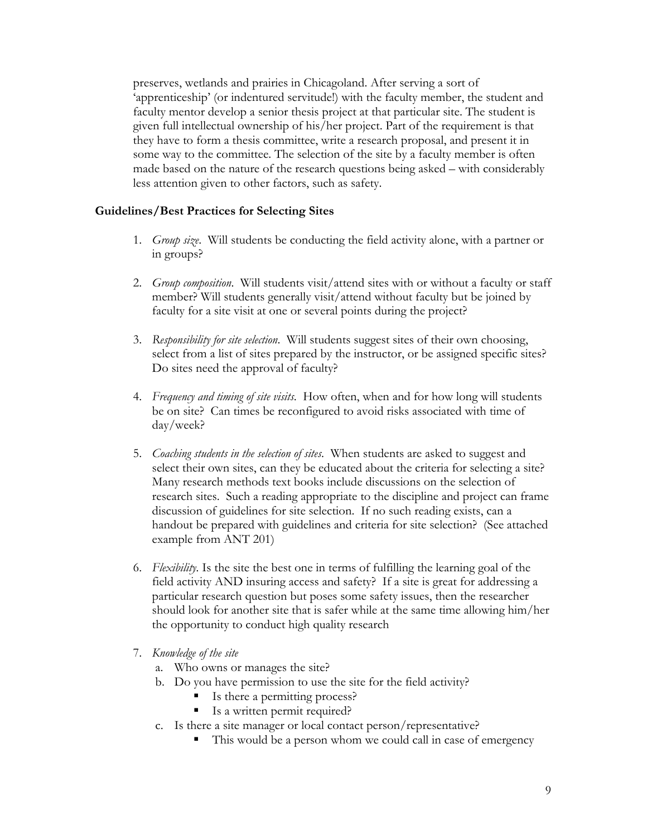preserves, wetlands and prairies in Chicagoland. After serving a sort of 'apprenticeship' (or indentured servitude!) with the faculty member, the student and faculty mentor develop a senior thesis project at that particular site. The student is given full intellectual ownership of his/her project. Part of the requirement is that they have to form a thesis committee, write a research proposal, and present it in some way to the committee. The selection of the site by a faculty member is often made based on the nature of the research questions being asked – with considerably less attention given to other factors, such as safety.

#### **Guidelines/Best Practices for Selecting Sites**

- 1. *Group size*. Will students be conducting the field activity alone, with a partner or in groups?
- 2. *Group composition*. Will students visit/attend sites with or without a faculty or staff member? Will students generally visit/attend without faculty but be joined by faculty for a site visit at one or several points during the project?
- 3. *Responsibility for site selection*. Will students suggest sites of their own choosing, select from a list of sites prepared by the instructor, or be assigned specific sites? Do sites need the approval of faculty?
- 4. *Frequency and timing of site visits*. How often, when and for how long will students be on site? Can times be reconfigured to avoid risks associated with time of day/week?
- 5. *Coaching students in the selection of sites*. When students are asked to suggest and select their own sites, can they be educated about the criteria for selecting a site? Many research methods text books include discussions on the selection of research sites. Such a reading appropriate to the discipline and project can frame discussion of guidelines for site selection. If no such reading exists, can a handout be prepared with guidelines and criteria for site selection? (See attached example from ANT 201)
- 6. *Flexibility.* Is the site the best one in terms of fulfilling the learning goal of the field activity AND insuring access and safety? If a site is great for addressing a particular research question but poses some safety issues, then the researcher should look for another site that is safer while at the same time allowing him/her the opportunity to conduct high quality research
- 7. *Knowledge of the site*
	- a. Who owns or manages the site?
	- b. Do you have permission to use the site for the field activity?
		- § Is there a permitting process?
		- Is a written permit required?
	- c. Is there a site manager or local contact person/representative?
		- This would be a person whom we could call in case of emergency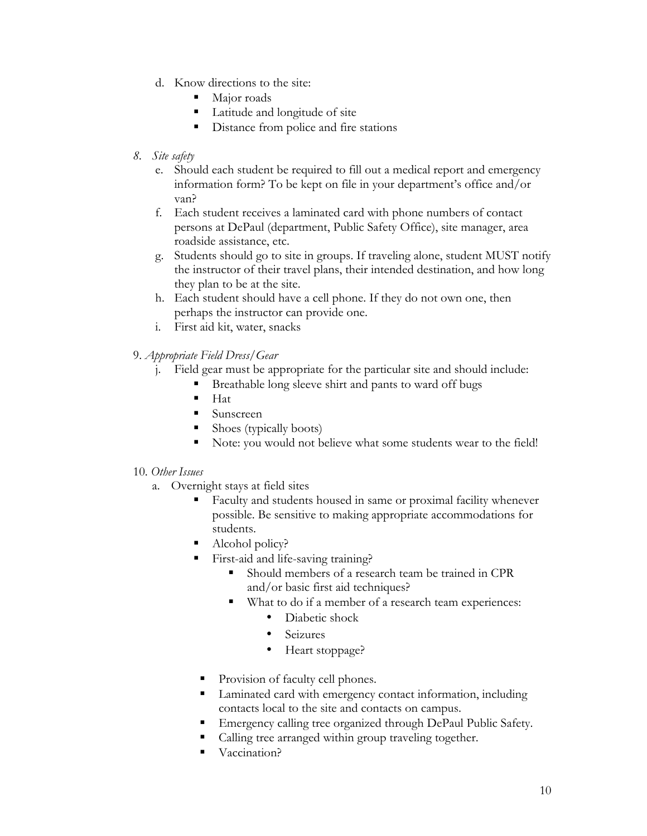- d. Know directions to the site:
	- Maior roads
	- Latitude and longitude of site
	- Distance from police and fire stations
- *8. Site safety*
	- e. Should each student be required to fill out a medical report and emergency information form? To be kept on file in your department's office and/or van?
	- f. Each student receives a laminated card with phone numbers of contact persons at DePaul (department, Public Safety Office), site manager, area roadside assistance, etc.
	- g. Students should go to site in groups. If traveling alone, student MUST notify the instructor of their travel plans, their intended destination, and how long they plan to be at the site.
	- h. Each student should have a cell phone. If they do not own one, then perhaps the instructor can provide one.
	- i. First aid kit, water, snacks
- 9. *Appropriate Field Dress/Gear*
	- j. Field gear must be appropriate for the particular site and should include:
		- § Breathable long sleeve shirt and pants to ward off bugs
		- Hat
		- § Sunscreen
		- § Shoes (typically boots)
		- Note: you would not believe what some students wear to the field!

#### 10. *Other Issues*

- a. Overnight stays at field sites
	- Faculty and students housed in same or proximal facility whenever possible. Be sensitive to making appropriate accommodations for students.
	- § Alcohol policy?
	- § First-aid and life-saving training?
		- § Should members of a research team be trained in CPR and/or basic first aid techniques?
		- What to do if a member of a research team experiences:
			- Diabetic shock
			- Seizures
			- Heart stoppage?
	- Provision of faculty cell phones.
	- Laminated card with emergency contact information, including contacts local to the site and contacts on campus.
	- Emergency calling tree organized through DePaul Public Safety.
	- Calling tree arranged within group traveling together.
	- Vaccination?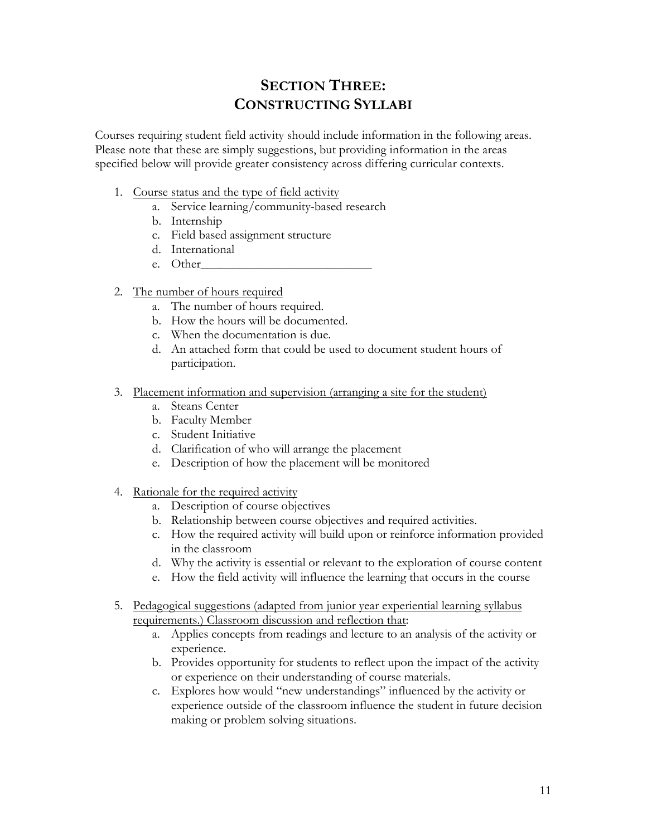# **SECTION THREE: CONSTRUCTING SYLLABI**

Courses requiring student field activity should include information in the following areas. Please note that these are simply suggestions, but providing information in the areas specified below will provide greater consistency across differing curricular contexts.

- 1. Course status and the type of field activity
	- a. Service learning/community-based research
	- b. Internship
	- c. Field based assignment structure
	- d. International
	- e. Other
- 2. The number of hours required
	- a. The number of hours required.
	- b. How the hours will be documented.
	- c. When the documentation is due.
	- d. An attached form that could be used to document student hours of participation.
- 3. Placement information and supervision (arranging a site for the student)
	- a. Steans Center
	- b. Faculty Member
	- c. Student Initiative
	- d. Clarification of who will arrange the placement
	- e. Description of how the placement will be monitored
- 4. Rationale for the required activity
	- a. Description of course objectives
	- b. Relationship between course objectives and required activities.
	- c. How the required activity will build upon or reinforce information provided in the classroom
	- d. Why the activity is essential or relevant to the exploration of course content
	- e. How the field activity will influence the learning that occurs in the course
- 5. Pedagogical suggestions (adapted from junior year experiential learning syllabus requirements.) Classroom discussion and reflection that:
	- a. Applies concepts from readings and lecture to an analysis of the activity or experience.
	- b. Provides opportunity for students to reflect upon the impact of the activity or experience on their understanding of course materials.
	- c. Explores how would "new understandings" influenced by the activity or experience outside of the classroom influence the student in future decision making or problem solving situations.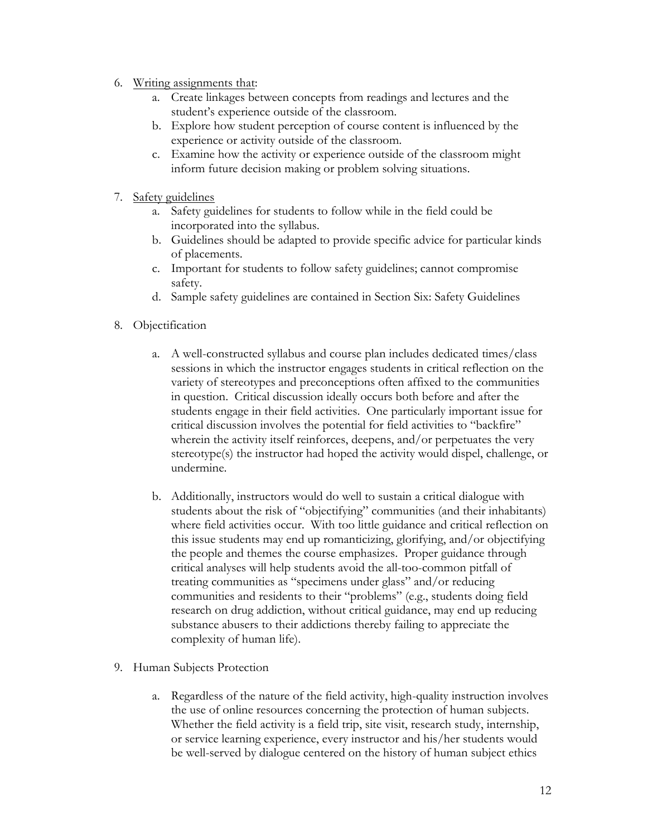- 6. Writing assignments that:
	- a. Create linkages between concepts from readings and lectures and the student's experience outside of the classroom.
	- b. Explore how student perception of course content is influenced by the experience or activity outside of the classroom.
	- c. Examine how the activity or experience outside of the classroom might inform future decision making or problem solving situations.
- 7. Safety guidelines
	- a. Safety guidelines for students to follow while in the field could be incorporated into the syllabus.
	- b. Guidelines should be adapted to provide specific advice for particular kinds of placements.
	- c. Important for students to follow safety guidelines; cannot compromise safety.
	- d. Sample safety guidelines are contained in Section Six: Safety Guidelines
- 8. Objectification
	- a. A well-constructed syllabus and course plan includes dedicated times/class sessions in which the instructor engages students in critical reflection on the variety of stereotypes and preconceptions often affixed to the communities in question. Critical discussion ideally occurs both before and after the students engage in their field activities. One particularly important issue for critical discussion involves the potential for field activities to "backfire" wherein the activity itself reinforces, deepens, and/or perpetuates the very stereotype(s) the instructor had hoped the activity would dispel, challenge, or undermine.
	- b. Additionally, instructors would do well to sustain a critical dialogue with students about the risk of "objectifying" communities (and their inhabitants) where field activities occur. With too little guidance and critical reflection on this issue students may end up romanticizing, glorifying, and/or objectifying the people and themes the course emphasizes. Proper guidance through critical analyses will help students avoid the all-too-common pitfall of treating communities as "specimens under glass" and/or reducing communities and residents to their "problems" (e.g., students doing field research on drug addiction, without critical guidance, may end up reducing substance abusers to their addictions thereby failing to appreciate the complexity of human life).
- 9. Human Subjects Protection
	- a. Regardless of the nature of the field activity, high-quality instruction involves the use of online resources concerning the protection of human subjects. Whether the field activity is a field trip, site visit, research study, internship, or service learning experience, every instructor and his/her students would be well-served by dialogue centered on the history of human subject ethics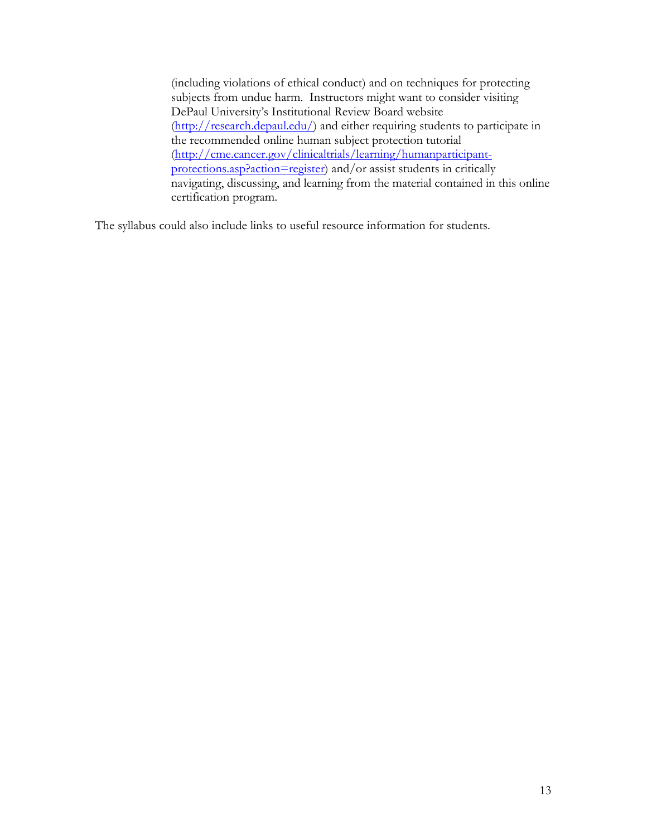(including violations of ethical conduct) and on techniques for protecting subjects from undue harm. Instructors might want to consider visiting DePaul University's Institutional Review Board website (http://research.depaul.edu/) and either requiring students to participate in the recommended online human subject protection tutorial (http://cme.cancer.gov/clinicaltrials/learning/humanparticipantprotections.asp?action=register) and/or assist students in critically navigating, discussing, and learning from the material contained in this online certification program.

The syllabus could also include links to useful resource information for students.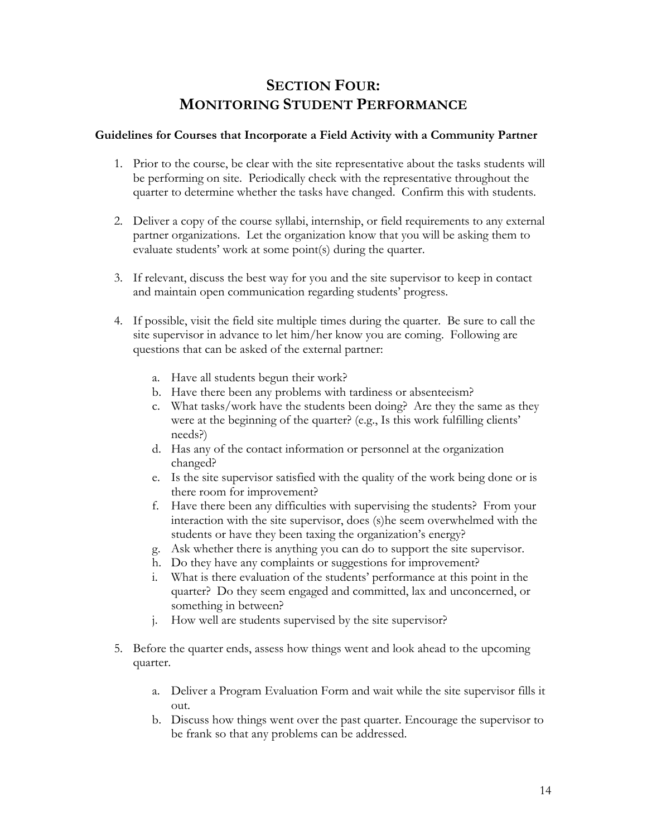## **SECTION FOUR: MONITORING STUDENT PERFORMANCE**

#### **Guidelines for Courses that Incorporate a Field Activity with a Community Partner**

- 1. Prior to the course, be clear with the site representative about the tasks students will be performing on site. Periodically check with the representative throughout the quarter to determine whether the tasks have changed. Confirm this with students.
- 2. Deliver a copy of the course syllabi, internship, or field requirements to any external partner organizations. Let the organization know that you will be asking them to evaluate students' work at some point(s) during the quarter.
- 3. If relevant, discuss the best way for you and the site supervisor to keep in contact and maintain open communication regarding students' progress.
- 4. If possible, visit the field site multiple times during the quarter. Be sure to call the site supervisor in advance to let him/her know you are coming. Following are questions that can be asked of the external partner:
	- a. Have all students begun their work?
	- b. Have there been any problems with tardiness or absenteeism?
	- c. What tasks/work have the students been doing? Are they the same as they were at the beginning of the quarter? (e.g., Is this work fulfilling clients' needs?)
	- d. Has any of the contact information or personnel at the organization changed?
	- e. Is the site supervisor satisfied with the quality of the work being done or is there room for improvement?
	- f. Have there been any difficulties with supervising the students? From your interaction with the site supervisor, does (s)he seem overwhelmed with the students or have they been taxing the organization's energy?
	- g. Ask whether there is anything you can do to support the site supervisor.
	- h. Do they have any complaints or suggestions for improvement?
	- i. What is there evaluation of the students' performance at this point in the quarter? Do they seem engaged and committed, lax and unconcerned, or something in between?
	- j. How well are students supervised by the site supervisor?
- 5. Before the quarter ends, assess how things went and look ahead to the upcoming quarter.
	- a. Deliver a Program Evaluation Form and wait while the site supervisor fills it out.
	- b. Discuss how things went over the past quarter. Encourage the supervisor to be frank so that any problems can be addressed.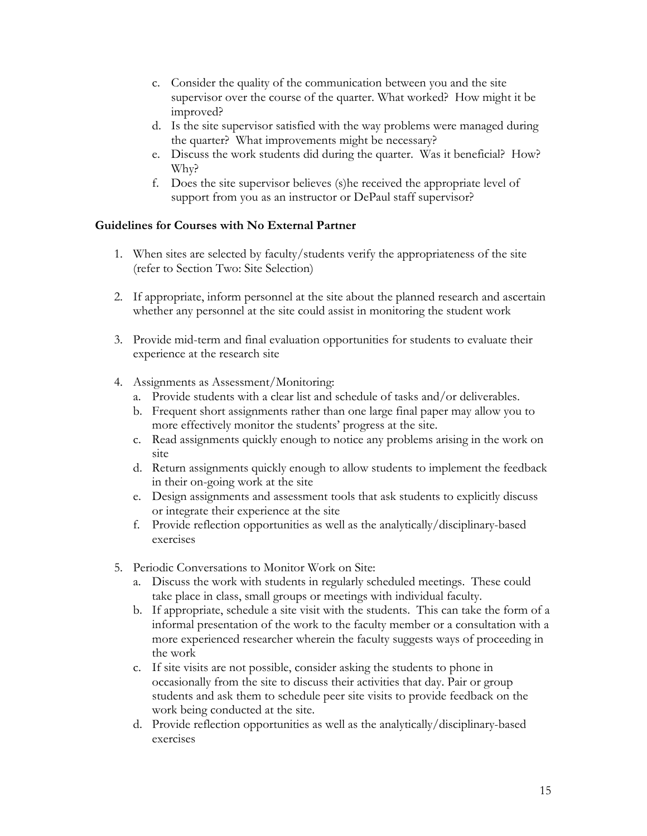- c. Consider the quality of the communication between you and the site supervisor over the course of the quarter. What worked? How might it be improved?
- d. Is the site supervisor satisfied with the way problems were managed during the quarter? What improvements might be necessary?
- e. Discuss the work students did during the quarter. Was it beneficial? How? Why?
- f. Does the site supervisor believes (s)he received the appropriate level of support from you as an instructor or DePaul staff supervisor?

### **Guidelines for Courses with No External Partner**

- 1. When sites are selected by faculty/students verify the appropriateness of the site (refer to Section Two: Site Selection)
- 2. If appropriate, inform personnel at the site about the planned research and ascertain whether any personnel at the site could assist in monitoring the student work
- 3. Provide mid-term and final evaluation opportunities for students to evaluate their experience at the research site
- 4. Assignments as Assessment/Monitoring:
	- a. Provide students with a clear list and schedule of tasks and/or deliverables.
	- b. Frequent short assignments rather than one large final paper may allow you to more effectively monitor the students' progress at the site.
	- c. Read assignments quickly enough to notice any problems arising in the work on site
	- d. Return assignments quickly enough to allow students to implement the feedback in their on-going work at the site
	- e. Design assignments and assessment tools that ask students to explicitly discuss or integrate their experience at the site
	- f. Provide reflection opportunities as well as the analytically/disciplinary-based exercises
- 5. Periodic Conversations to Monitor Work on Site:
	- a. Discuss the work with students in regularly scheduled meetings. These could take place in class, small groups or meetings with individual faculty.
	- b. If appropriate, schedule a site visit with the students. This can take the form of a informal presentation of the work to the faculty member or a consultation with a more experienced researcher wherein the faculty suggests ways of proceeding in the work
	- c. If site visits are not possible, consider asking the students to phone in occasionally from the site to discuss their activities that day. Pair or group students and ask them to schedule peer site visits to provide feedback on the work being conducted at the site.
	- d. Provide reflection opportunities as well as the analytically/disciplinary-based exercises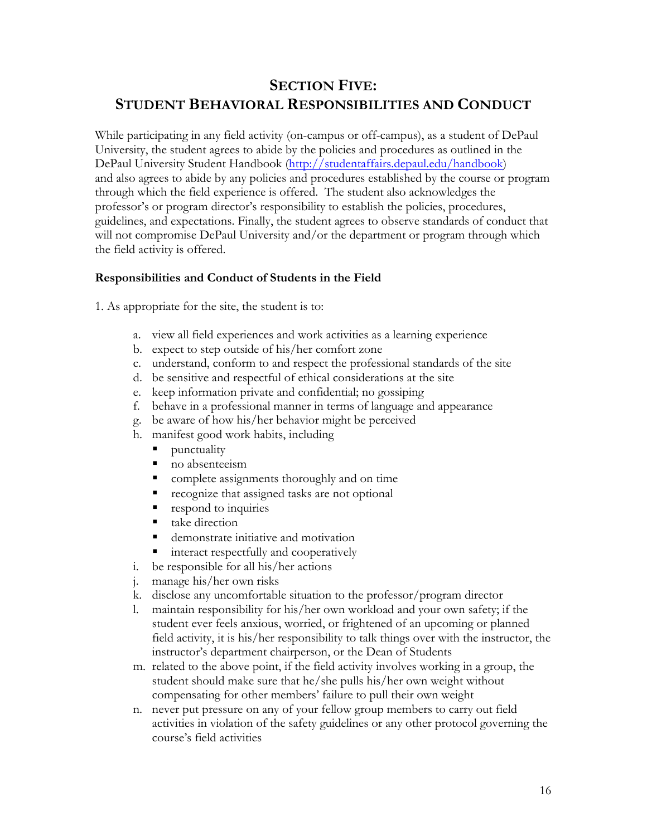# **SECTION FIVE: STUDENT BEHAVIORAL RESPONSIBILITIES AND CONDUCT**

While participating in any field activity (on-campus or off-campus), as a student of DePaul University, the student agrees to abide by the policies and procedures as outlined in the DePaul University Student Handbook (http://studentaffairs.depaul.edu/handbook) and also agrees to abide by any policies and procedures established by the course or program through which the field experience is offered. The student also acknowledges the professor's or program director's responsibility to establish the policies, procedures, guidelines, and expectations. Finally, the student agrees to observe standards of conduct that will not compromise DePaul University and/or the department or program through which the field activity is offered.

### **Responsibilities and Conduct of Students in the Field**

1. As appropriate for the site, the student is to:

- a. view all field experiences and work activities as a learning experience
- b. expect to step outside of his/her comfort zone
- c. understand, conform to and respect the professional standards of the site
- d. be sensitive and respectful of ethical considerations at the site
- e. keep information private and confidential; no gossiping
- f. behave in a professional manner in terms of language and appearance
- g. be aware of how his/her behavior might be perceived
- h. manifest good work habits, including
	- punctuality
	- no absenteeism
	- complete assignments thoroughly and on time
	- recognize that assigned tasks are not optional
	- respond to inquiries
	- $\blacksquare$  take direction
	- demonstrate initiative and motivation
	- § interact respectfully and cooperatively
- i. be responsible for all his/her actions
- j. manage his/her own risks
- k. disclose any uncomfortable situation to the professor/program director
- l. maintain responsibility for his/her own workload and your own safety; if the student ever feels anxious, worried, or frightened of an upcoming or planned field activity, it is his/her responsibility to talk things over with the instructor, the instructor's department chairperson, or the Dean of Students
- m. related to the above point, if the field activity involves working in a group, the student should make sure that he/she pulls his/her own weight without compensating for other members' failure to pull their own weight
- n. never put pressure on any of your fellow group members to carry out field activities in violation of the safety guidelines or any other protocol governing the course's field activities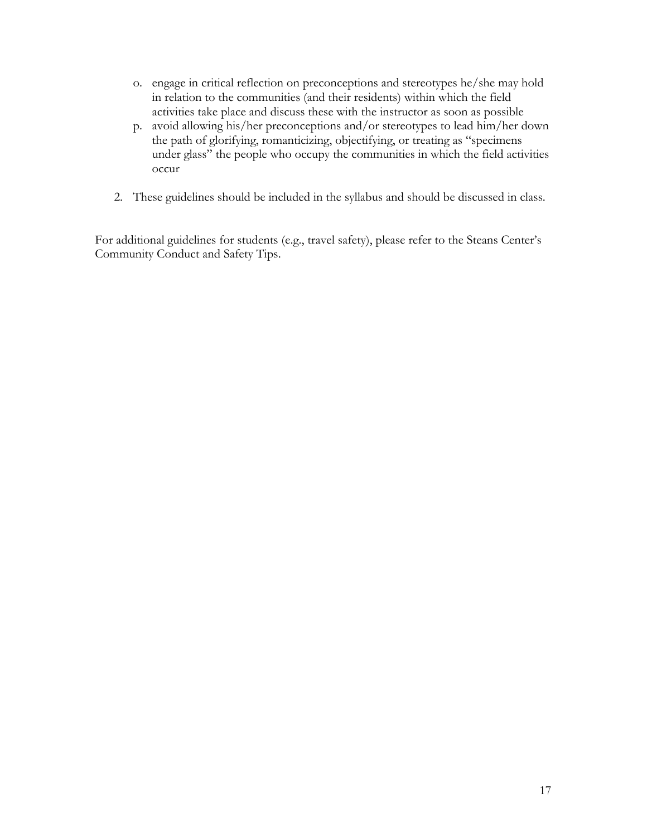- o. engage in critical reflection on preconceptions and stereotypes he/she may hold in relation to the communities (and their residents) within which the field activities take place and discuss these with the instructor as soon as possible
- p. avoid allowing his/her preconceptions and/or stereotypes to lead him/her down the path of glorifying, romanticizing, objectifying, or treating as "specimens under glass" the people who occupy the communities in which the field activities occur
- 2. These guidelines should be included in the syllabus and should be discussed in class.

For additional guidelines for students (e.g., travel safety), please refer to the Steans Center's Community Conduct and Safety Tips.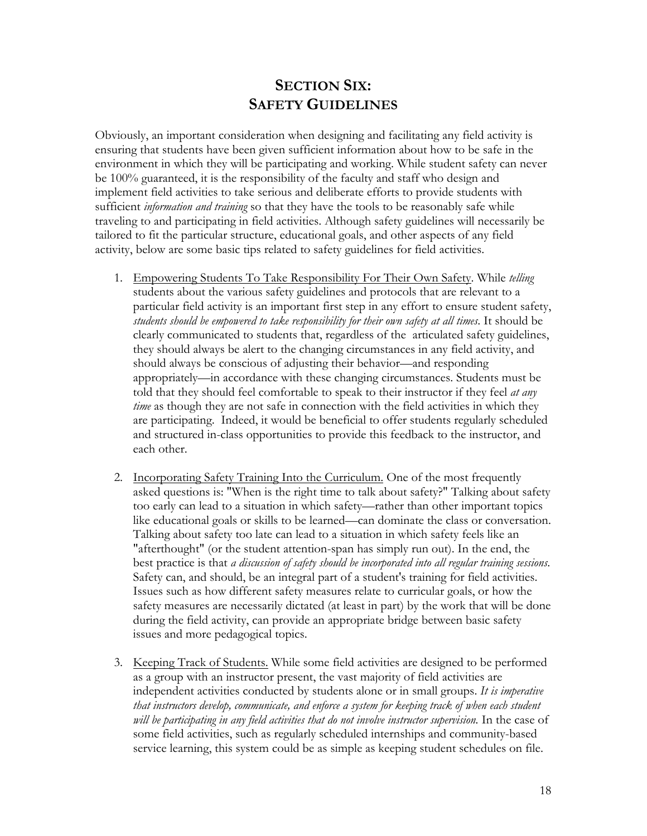### **SECTION SIX: SAFETY GUIDELINES**

Obviously, an important consideration when designing and facilitating any field activity is ensuring that students have been given sufficient information about how to be safe in the environment in which they will be participating and working. While student safety can never be 100% guaranteed, it is the responsibility of the faculty and staff who design and implement field activities to take serious and deliberate efforts to provide students with sufficient *information and training* so that they have the tools to be reasonably safe while traveling to and participating in field activities. Although safety guidelines will necessarily be tailored to fit the particular structure, educational goals, and other aspects of any field activity, below are some basic tips related to safety guidelines for field activities.

- 1. Empowering Students To Take Responsibility For Their Own Safety. While *telling*  students about the various safety guidelines and protocols that are relevant to a particular field activity is an important first step in any effort to ensure student safety, *students should be empowered to take responsibility for their own safety at all times*. It should be clearly communicated to students that, regardless of the articulated safety guidelines, they should always be alert to the changing circumstances in any field activity, and should always be conscious of adjusting their behavior—and responding appropriately—in accordance with these changing circumstances. Students must be told that they should feel comfortable to speak to their instructor if they feel *at any time* as though they are not safe in connection with the field activities in which they are participating. Indeed, it would be beneficial to offer students regularly scheduled and structured in-class opportunities to provide this feedback to the instructor, and each other.
- 2. Incorporating Safety Training Into the Curriculum. One of the most frequently asked questions is: "When is the right time to talk about safety?" Talking about safety too early can lead to a situation in which safety—rather than other important topics like educational goals or skills to be learned—can dominate the class or conversation. Talking about safety too late can lead to a situation in which safety feels like an "afterthought" (or the student attention-span has simply run out). In the end, the best practice is that *a discussion of safety should be incorporated into all regular training sessions*. Safety can, and should, be an integral part of a student's training for field activities. Issues such as how different safety measures relate to curricular goals, or how the safety measures are necessarily dictated (at least in part) by the work that will be done during the field activity, can provide an appropriate bridge between basic safety issues and more pedagogical topics.
- 3. Keeping Track of Students. While some field activities are designed to be performed as a group with an instructor present, the vast majority of field activities are independent activities conducted by students alone or in small groups. *It is imperative that instructors develop, communicate, and enforce a system for keeping track of when each student will be participating in any field activities that do not involve instructor supervision.* In the case of some field activities, such as regularly scheduled internships and community-based service learning, this system could be as simple as keeping student schedules on file.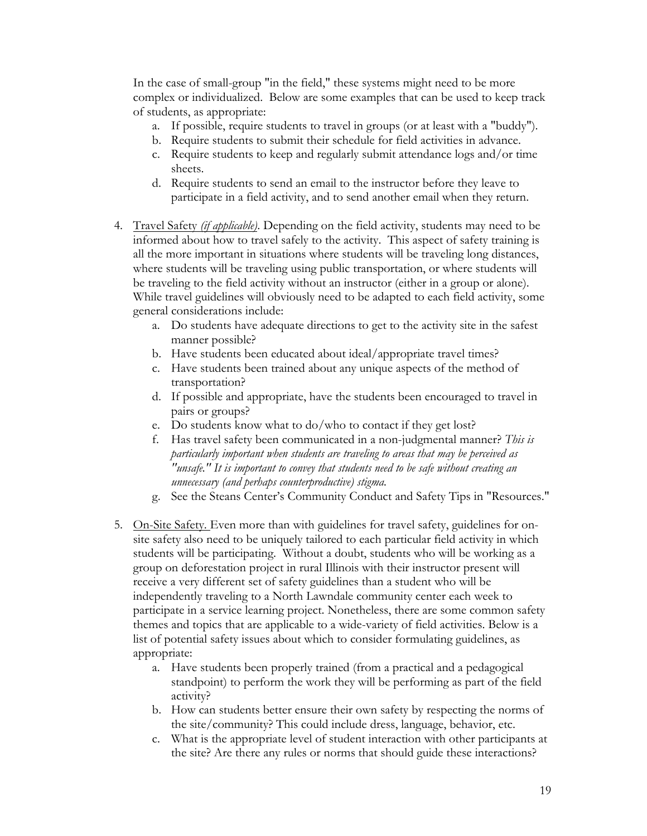In the case of small-group "in the field," these systems might need to be more complex or individualized. Below are some examples that can be used to keep track of students, as appropriate:

- a. If possible, require students to travel in groups (or at least with a "buddy").
- b. Require students to submit their schedule for field activities in advance.
- c. Require students to keep and regularly submit attendance logs and/or time sheets.
- d. Require students to send an email to the instructor before they leave to participate in a field activity, and to send another email when they return.
- 4. Travel Safety *(if applicable)*. Depending on the field activity, students may need to be informed about how to travel safely to the activity. This aspect of safety training is all the more important in situations where students will be traveling long distances, where students will be traveling using public transportation, or where students will be traveling to the field activity without an instructor (either in a group or alone). While travel guidelines will obviously need to be adapted to each field activity, some general considerations include:
	- a. Do students have adequate directions to get to the activity site in the safest manner possible?
	- b. Have students been educated about ideal/appropriate travel times?
	- c. Have students been trained about any unique aspects of the method of transportation?
	- d. If possible and appropriate, have the students been encouraged to travel in pairs or groups?
	- e. Do students know what to do/who to contact if they get lost?
	- f. Has travel safety been communicated in a non-judgmental manner? *This is particularly important when students are traveling to areas that may be perceived as "unsafe." It is important to convey that students need to be safe without creating an unnecessary (and perhaps counterproductive) stigma.*
	- g. See the Steans Center's Community Conduct and Safety Tips in "Resources."
- 5. On-Site Safety. Even more than with guidelines for travel safety, guidelines for onsite safety also need to be uniquely tailored to each particular field activity in which students will be participating. Without a doubt, students who will be working as a group on deforestation project in rural Illinois with their instructor present will receive a very different set of safety guidelines than a student who will be independently traveling to a North Lawndale community center each week to participate in a service learning project. Nonetheless, there are some common safety themes and topics that are applicable to a wide-variety of field activities. Below is a list of potential safety issues about which to consider formulating guidelines, as appropriate:
	- a. Have students been properly trained (from a practical and a pedagogical standpoint) to perform the work they will be performing as part of the field activity?
	- b. How can students better ensure their own safety by respecting the norms of the site/community? This could include dress, language, behavior, etc.
	- c. What is the appropriate level of student interaction with other participants at the site? Are there any rules or norms that should guide these interactions?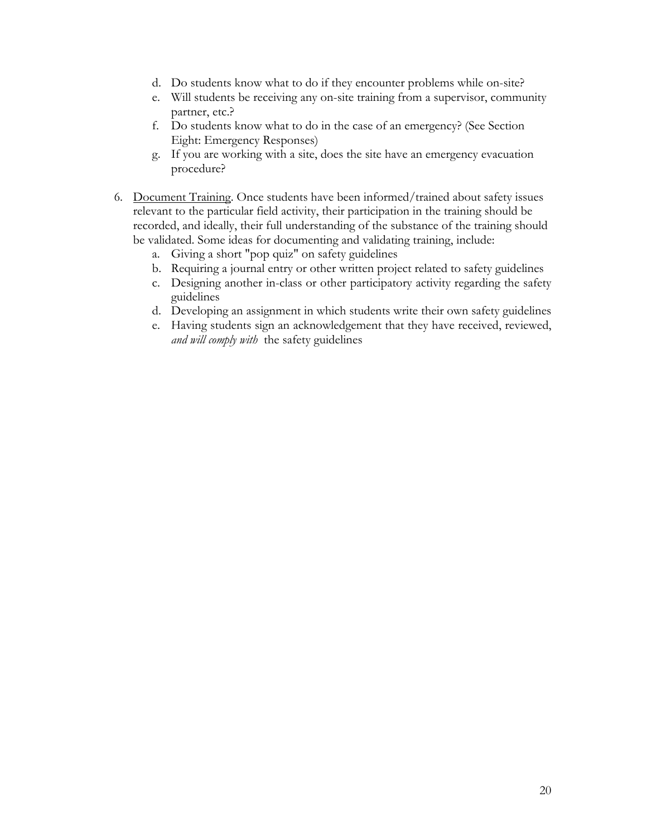- d. Do students know what to do if they encounter problems while on-site?
- e. Will students be receiving any on-site training from a supervisor, community partner, etc.?
- f. Do students know what to do in the case of an emergency? (See Section Eight: Emergency Responses)
- g. If you are working with a site, does the site have an emergency evacuation procedure?
- 6. Document Training. Once students have been informed/trained about safety issues relevant to the particular field activity, their participation in the training should be recorded, and ideally, their full understanding of the substance of the training should be validated. Some ideas for documenting and validating training, include:
	- a. Giving a short "pop quiz" on safety guidelines
	- b. Requiring a journal entry or other written project related to safety guidelines
	- c. Designing another in-class or other participatory activity regarding the safety guidelines
	- d. Developing an assignment in which students write their own safety guidelines
	- e. Having students sign an acknowledgement that they have received, reviewed, *and will comply with* the safety guidelines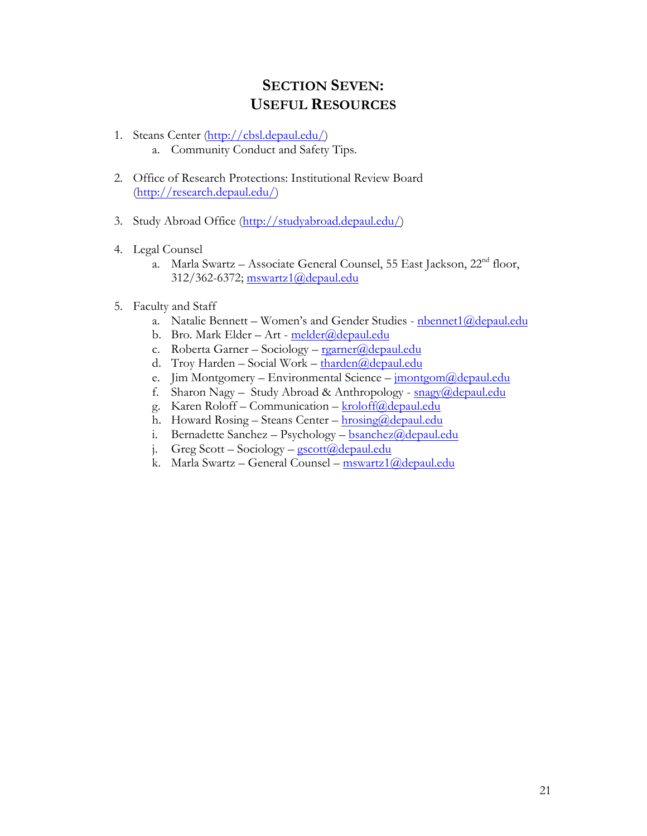## **SECTION SEVEN: USEFUL RESOURCES**

- 1. Steans Center (http://cbsl.depaul.edu/) a. Community Conduct and Safety Tips.
- 2. Office of Research Protections: Institutional Review Board (http://research.depaul.edu/)
- 3. Study Abroad Office (http://studyabroad.depaul.edu/)
- 4. Legal Counsel
	- a. Marla Swartz Associate General Counsel, 55 East Jackson, 22<sup>nd</sup> floor, 312/362-6372; mswartz1@depaul.edu
- 5. Faculty and Staff
	- a. Natalie Bennett Women's and Gender Studies nbennet1@depaul.edu
	- b. Bro. Mark Elder Art melder@depaul.edu
	- c. Roberta Garner Sociology  $\text{rgarner}(\partial \text{depaul.edu})$
	- d. Troy Harden Social Work tharden@depaul.edu
	- e. Jim Montgomery Environmental Science imontgom@depaul.edu
	- f. Sharon Nagy Study Abroad & Anthropology snagy@depaul.edu
	- g. Karen Roloff Communication kroloff@depaul.edu
	- h. Howard Rosing Steans Center  $hrosing(\partial \phi)$ depaul.edu
	- i. Bernadette Sanchez Psychology bsanchez@depaul.edu
	- j. Greg Scott Sociology  $\frac{c}{gscott}$  ( $\frac{\partial}{\partial e}$ )  $\frac{d}{d}$
	- k. Marla Swartz General Counsel mswartz1@depaul.edu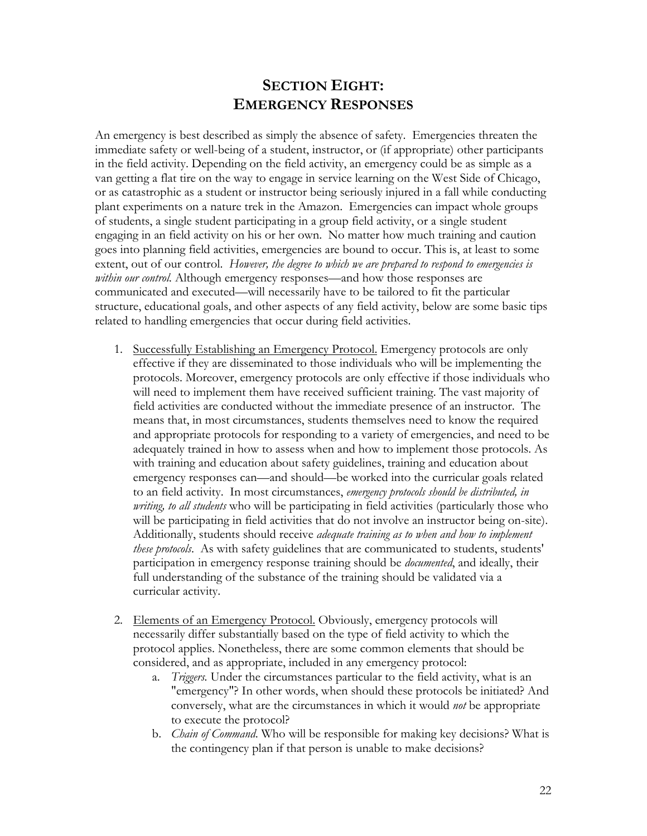## **SECTION EIGHT: EMERGENCY RESPONSES**

An emergency is best described as simply the absence of safety. Emergencies threaten the immediate safety or well-being of a student, instructor, or (if appropriate) other participants in the field activity. Depending on the field activity, an emergency could be as simple as a van getting a flat tire on the way to engage in service learning on the West Side of Chicago, or as catastrophic as a student or instructor being seriously injured in a fall while conducting plant experiments on a nature trek in the Amazon. Emergencies can impact whole groups of students, a single student participating in a group field activity, or a single student engaging in an field activity on his or her own. No matter how much training and caution goes into planning field activities, emergencies are bound to occur. This is, at least to some extent, out of our control. *However, the degree to which we are prepared to respond to emergencies is within our control.* Although emergency responses—and how those responses are communicated and executed—will necessarily have to be tailored to fit the particular structure, educational goals, and other aspects of any field activity, below are some basic tips related to handling emergencies that occur during field activities.

- 1. Successfully Establishing an Emergency Protocol. Emergency protocols are only effective if they are disseminated to those individuals who will be implementing the protocols. Moreover, emergency protocols are only effective if those individuals who will need to implement them have received sufficient training. The vast majority of field activities are conducted without the immediate presence of an instructor. The means that, in most circumstances, students themselves need to know the required and appropriate protocols for responding to a variety of emergencies, and need to be adequately trained in how to assess when and how to implement those protocols. As with training and education about safety guidelines, training and education about emergency responses can—and should—be worked into the curricular goals related to an field activity. In most circumstances, *emergency protocols should be distributed, in writing, to all students* who will be participating in field activities (particularly those who will be participating in field activities that do not involve an instructor being on-site). Additionally, students should receive *adequate training as to when and how to implement these protocols*.As with safety guidelines that are communicated to students, students' participation in emergency response training should be *documented*, and ideally, their full understanding of the substance of the training should be validated via a curricular activity.
- 2. Elements of an Emergency Protocol. Obviously, emergency protocols will necessarily differ substantially based on the type of field activity to which the protocol applies. Nonetheless, there are some common elements that should be considered, and as appropriate, included in any emergency protocol:
	- a. *Triggers.* Under the circumstances particular to the field activity, what is an "emergency"? In other words, when should these protocols be initiated? And conversely, what are the circumstances in which it would *not* be appropriate to execute the protocol?
	- b. *Chain of Command*. Who will be responsible for making key decisions? What is the contingency plan if that person is unable to make decisions?